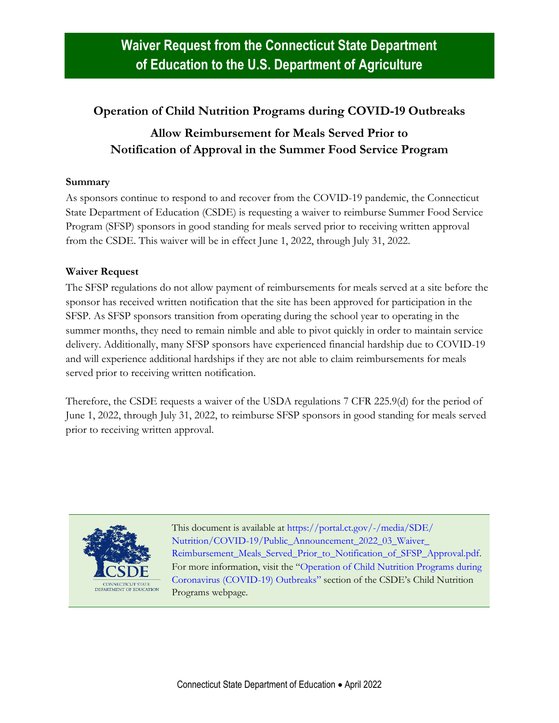## **Operation of Child Nutrition Programs during COVID-19 Outbreaks**

## **Allow Reimbursement for Meals Served Prior to Notification of Approval in the Summer Food Service Program**

## **Summary**

As sponsors continue to respond to and recover from the COVID-19 pandemic, the Connecticut State Department of Education (CSDE) is requesting a waiver to reimburse Summer Food Service Program (SFSP) sponsors in good standing for meals served prior to receiving written approval from the CSDE. This waiver will be in effect June 1, 2022, through July 31, 2022.

## **Waiver Request**

The SFSP regulations do not allow payment of reimbursements for meals served at a site before the sponsor has received written notification that the site has been approved for participation in the SFSP. As SFSP sponsors transition from operating during the school year to operating in the summer months, they need to remain nimble and able to pivot quickly in order to maintain service delivery. Additionally, many SFSP sponsors have experienced financial hardship due to COVID-19 and will experience additional hardships if they are not able to claim reimbursements for meals served prior to receiving written notification.

Therefore, the CSDE requests a waiver of the USDA regulations 7 CFR 225.9(d) for the period of June 1, 2022, through July 31, 2022, to reimburse SFSP sponsors in good standing for meals served prior to receiving written approval.



This document is available at [https://portal.ct.gov/-/media/SDE/](https://portal.ct.gov/-/media/SDE/‌Nutrition/COVID-19/Public_Announcement_2022_03_Waiver_Reimbursement_Meals_Served_Prior_to_Notification_of_SFSP_Approval.pdf) [Nutrition/COVID-19/Public\\_Announcement\\_2022\\_03\\_Waiver\\_](https://portal.ct.gov/-/media/SDE/‌Nutrition/COVID-19/Public_Announcement_2022_03_Waiver_Reimbursement_Meals_Served_Prior_to_Notification_of_SFSP_Approval.pdf) [Reimbursement\\_Meals\\_Served\\_Prior\\_to\\_Notification\\_of\\_SFSP\\_Approval.pdf.](https://portal.ct.gov/-/media/SDE/‌Nutrition/COVID-19/Public_Announcement_2022_03_Waiver_Reimbursement_Meals_Served_Prior_to_Notification_of_SFSP_Approval.pdf) For more information, visit the "[Operation of Child Nutrition Programs during](https://portal.ct.gov/SDE/Nutrition/Child-Nutrition-Programs#coronavirus)  [Coronavirus \(COVID-19\) Outbreaks](https://portal.ct.gov/SDE/Nutrition/Child-Nutrition-Programs#coronavirus)" section of the CSDE's Child Nutrition Programs webpage.